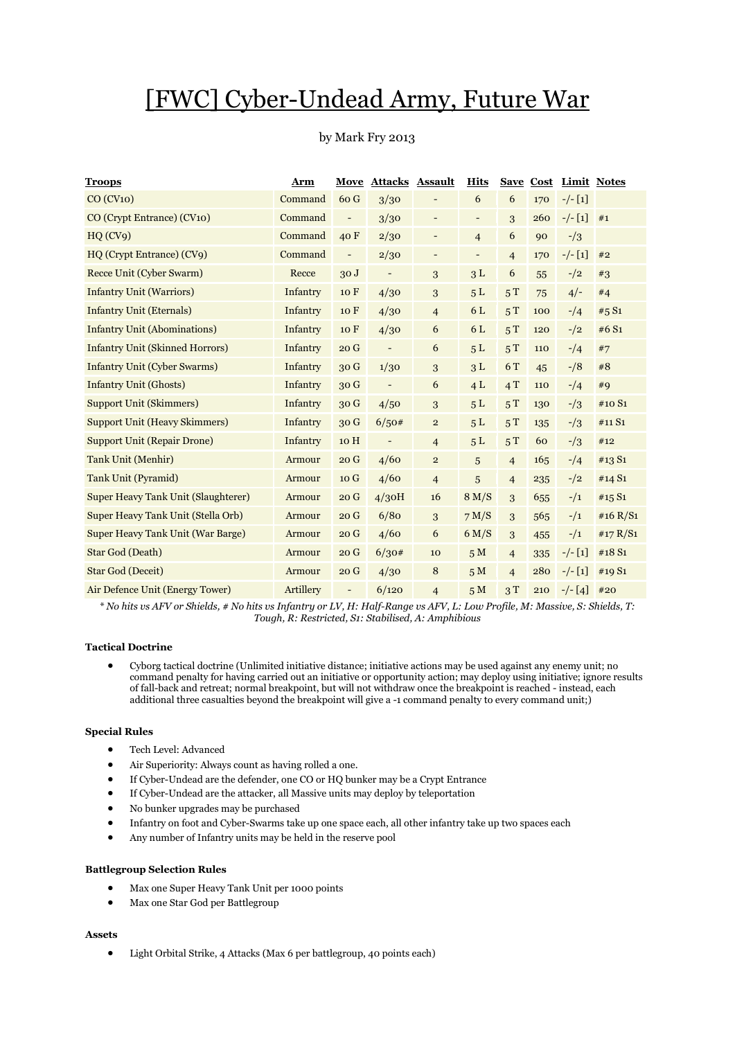# [FWC] Cyber-Undead Army, Future War

## by Mark Fry 2013

| <b>Troops</b>                              | Arm       | Move                     | <b>Attacks Assault</b>   |                          | <b>Hits</b>              | <b>Save</b>    | <b>Cost</b> |           | Limit Notes |
|--------------------------------------------|-----------|--------------------------|--------------------------|--------------------------|--------------------------|----------------|-------------|-----------|-------------|
| CO (CV10)                                  | Command   | 60 G                     | 3/30                     |                          | 6                        | 6              | 170         | $-/- [1]$ |             |
| CO (Crypt Entrance) (CV10)                 | Command   | $\overline{\phantom{a}}$ | 3/30                     | $\overline{\phantom{a}}$ | $\overline{\phantom{a}}$ | 3              | 260         | $-/- [1]$ | #1          |
| HQ(CV9)                                    | Command   | 40F                      | 2/30                     | $\overline{\phantom{a}}$ | $\overline{4}$           | 6              | 90          | $-1/3$    |             |
| HQ (Crypt Entrance) (CV9)                  | Command   | $\overline{\phantom{0}}$ | 2/30                     | $\overline{\phantom{a}}$ | $\overline{\phantom{a}}$ | $\overline{4}$ | 170         | $-/- [1]$ | #2          |
| Recce Unit (Cyber Swarm)                   | Recce     | 30J                      | $\overline{\phantom{a}}$ | 3                        | 3L                       | 6              | 55          | $-1/2$    | #3          |
| <b>Infantry Unit (Warriors)</b>            | Infantry  | 10 F                     | 4/30                     | 3                        | 5L                       | 5T             | 75          | $4/-$     | #4          |
| <b>Infantry Unit (Eternals)</b>            | Infantry  | 10F                      | 4/30                     | $\overline{4}$           | 6 L                      | 5T             | 100         | $-14$     | #5 S1       |
| <b>Infantry Unit (Abominations)</b>        | Infantry  | 10 F                     | 4/30                     | 6                        | 6L                       | 5T             | 120         | $-1/2$    | #6 S1       |
| <b>Infantry Unit (Skinned Horrors)</b>     | Infantry  | 20G                      | $\qquad \qquad -$        | 6                        | 5L                       | 5T             | 110         | $-1/4$    | #7          |
| <b>Infantry Unit (Cyber Swarms)</b>        | Infantry  | 30 G                     | 1/30                     | 3                        | 3L                       | 6 T            | 45          | $-18$     | #8          |
| <b>Infantry Unit (Ghosts)</b>              | Infantry  | 30 <sub>G</sub>          | $\overline{a}$           | 6                        | 4L                       | 4T             | 110         | $-14$     | #9          |
| <b>Support Unit (Skimmers)</b>             | Infantry  | 30 G                     | 4/50                     | 3                        | 5L                       | 5T             | 130         | $-1/3$    | #10 S1      |
| <b>Support Unit (Heavy Skimmers)</b>       | Infantry  | 30 G                     | 6/50#                    | $\mathbf{2}$             | 5L                       | 5T             | 135         | $-1/3$    | #11 S1      |
| <b>Support Unit (Repair Drone)</b>         | Infantry  | 10 H                     | $\overline{a}$           | $\overline{4}$           | 5L                       | 5T             | 60          | $-1/3$    | #12         |
| <b>Tank Unit (Menhir)</b>                  | Armour    | 20G                      | 4/60                     | $\mathbf{2}$             | 5                        | $\overline{4}$ | 165         | $-14$     | #13 S1      |
| <b>Tank Unit (Pyramid)</b>                 | Armour    | 10 G                     | 4/60                     | $\overline{4}$           | 5                        | $\overline{4}$ | 235         | $-1/2$    | #14 S1      |
| <b>Super Heavy Tank Unit (Slaughterer)</b> | Armour    | 20G                      | $4/3$ OH                 | 16                       | 8 M/S                    | 3              | 655         | $^{-/1}$  | #15 $S_1$   |
| Super Heavy Tank Unit (Stella Orb)         | Armour    | 20G                      | 6/80                     | 3                        | 7 M/S                    | 3              | 565         | $-1/1$    | #16 R/S1    |
| <b>Super Heavy Tank Unit (War Barge)</b>   | Armour    | 20G                      | 4/60                     | 6                        | 6 M/S                    | 3              | 455         | $-1/1$    | #17 $R/S1$  |
| Star God (Death)                           | Armour    | 20G                      | 6/30#                    | 10                       | 5M                       | $\overline{4}$ | 335         | $-/- [1]$ | #18 S1      |
| <b>Star God (Deceit)</b>                   | Armour    | 20G                      | 4/30                     | 8                        | 5M                       | $\overline{4}$ | 280         | $-/- [1]$ | #19 S1      |
| Air Defence Unit (Energy Tower)            | Artillery | $\overline{\phantom{0}}$ | 6/120                    | $\overline{4}$           | 5 <sub>M</sub>           | 3T             | 210         | $-/- [4]$ | #20         |

*\* No hits vs AFV or Shields, # No hits vs Infantry or LV, H: Half-Range vs AFV, L: Low Profile, M: Massive, S: Shields, T: Tough, R: Restricted, S1: Stabilised, A: Amphibious*

#### **Tactical Doctrine**

 Cyborg tactical doctrine (Unlimited initiative distance; initiative actions may be used against any enemy unit; no command penalty for having carried out an initiative or opportunity action; may deploy using initiative; ignore results of fall-back and retreat; normal breakpoint, but will not withdraw once the breakpoint is reached - instead, each additional three casualties beyond the breakpoint will give a -1 command penalty to every command unit;)

#### **Special Rules**

- Tech Level: Advanced
- Air Superiority: Always count as having rolled a one.
- If Cyber-Undead are the defender, one CO or HQ bunker may be a Crypt Entrance
- If Cyber-Undead are the attacker, all Massive units may deploy by teleportation
- No bunker upgrades may be purchased
- Infantry on foot and Cyber-Swarms take up one space each, all other infantry take up two spaces each
- Any number of Infantry units may be held in the reserve pool

## **Battlegroup Selection Rules**

- Max one Super Heavy Tank Unit per 1000 points
- Max one Star God per Battlegroup

#### **Assets**

Light Orbital Strike, 4 Attacks (Max 6 per battlegroup, 40 points each)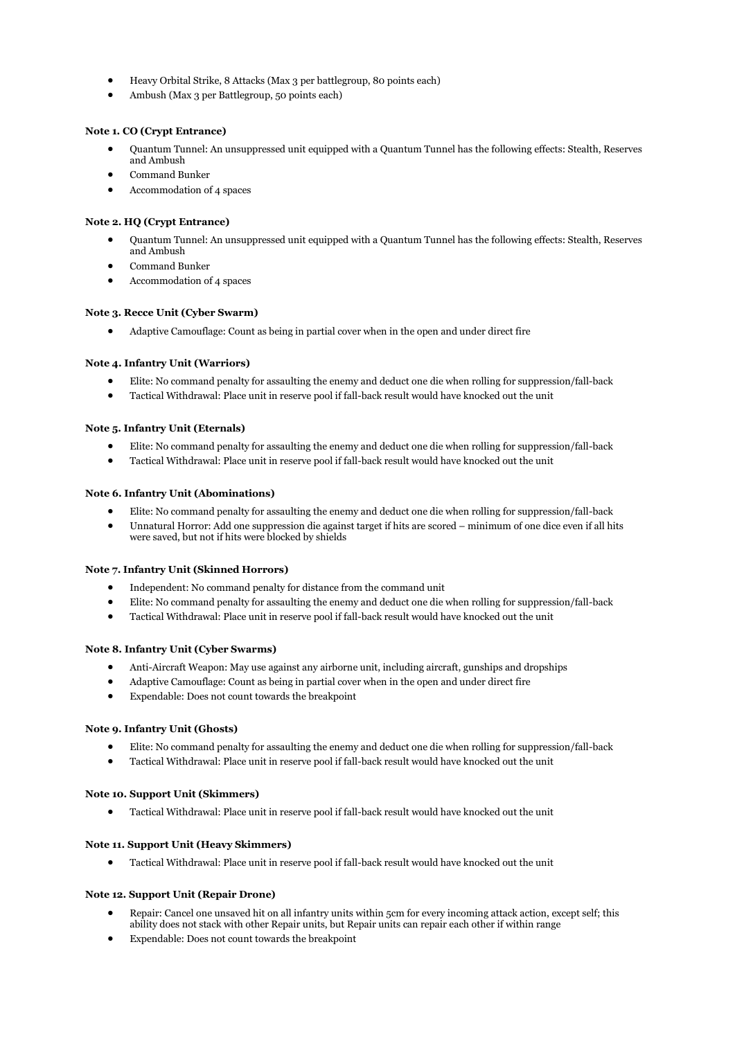- Heavy Orbital Strike, 8 Attacks (Max 3 per battlegroup, 80 points each)
- Ambush (Max 3 per Battlegroup, 50 points each)

## **Note 1. CO (Crypt Entrance)**

- Quantum Tunnel: An unsuppressed unit equipped with a Quantum Tunnel has the following effects: Stealth, Reserves and Ambush
- Command Bunker
- Accommodation of 4 spaces

## **Note 2. HQ (Crypt Entrance)**

- Quantum Tunnel: An unsuppressed unit equipped with a Quantum Tunnel has the following effects: Stealth, Reserves and Ambush
- Command Bunker
- Accommodation of 4 spaces

## **Note 3. Recce Unit (Cyber Swarm)**

Adaptive Camouflage: Count as being in partial cover when in the open and under direct fire

#### **Note 4. Infantry Unit (Warriors)**

- Elite: No command penalty for assaulting the enemy and deduct one die when rolling for suppression/fall-back
- Tactical Withdrawal: Place unit in reserve pool if fall-back result would have knocked out the unit

#### **Note 5. Infantry Unit (Eternals)**

- Elite: No command penalty for assaulting the enemy and deduct one die when rolling for suppression/fall-back
- Tactical Withdrawal: Place unit in reserve pool if fall-back result would have knocked out the unit

#### **Note 6. Infantry Unit (Abominations)**

- Elite: No command penalty for assaulting the enemy and deduct one die when rolling for suppression/fall-back
- Unnatural Horror: Add one suppression die against target if hits are scored minimum of one dice even if all hits were saved, but not if hits were blocked by shields

#### **Note 7. Infantry Unit (Skinned Horrors)**

- Independent: No command penalty for distance from the command unit
- Elite: No command penalty for assaulting the enemy and deduct one die when rolling for suppression/fall-back
- Tactical Withdrawal: Place unit in reserve pool if fall-back result would have knocked out the unit

#### **Note 8. Infantry Unit (Cyber Swarms)**

- Anti-Aircraft Weapon: May use against any airborne unit, including aircraft, gunships and dropships
- Adaptive Camouflage: Count as being in partial cover when in the open and under direct fire
- Expendable: Does not count towards the breakpoint

## **Note 9. Infantry Unit (Ghosts)**

- Elite: No command penalty for assaulting the enemy and deduct one die when rolling for suppression/fall-back
- Tactical Withdrawal: Place unit in reserve pool if fall-back result would have knocked out the unit

#### **Note 10. Support Unit (Skimmers)**

Tactical Withdrawal: Place unit in reserve pool if fall-back result would have knocked out the unit

#### **Note 11. Support Unit (Heavy Skimmers)**

Tactical Withdrawal: Place unit in reserve pool if fall-back result would have knocked out the unit

## **Note 12. Support Unit (Repair Drone)**

- Repair: Cancel one unsaved hit on all infantry units within 5cm for every incoming attack action, except self; this ability does not stack with other Repair units, but Repair units can repair each other if within range
- Expendable: Does not count towards the breakpoint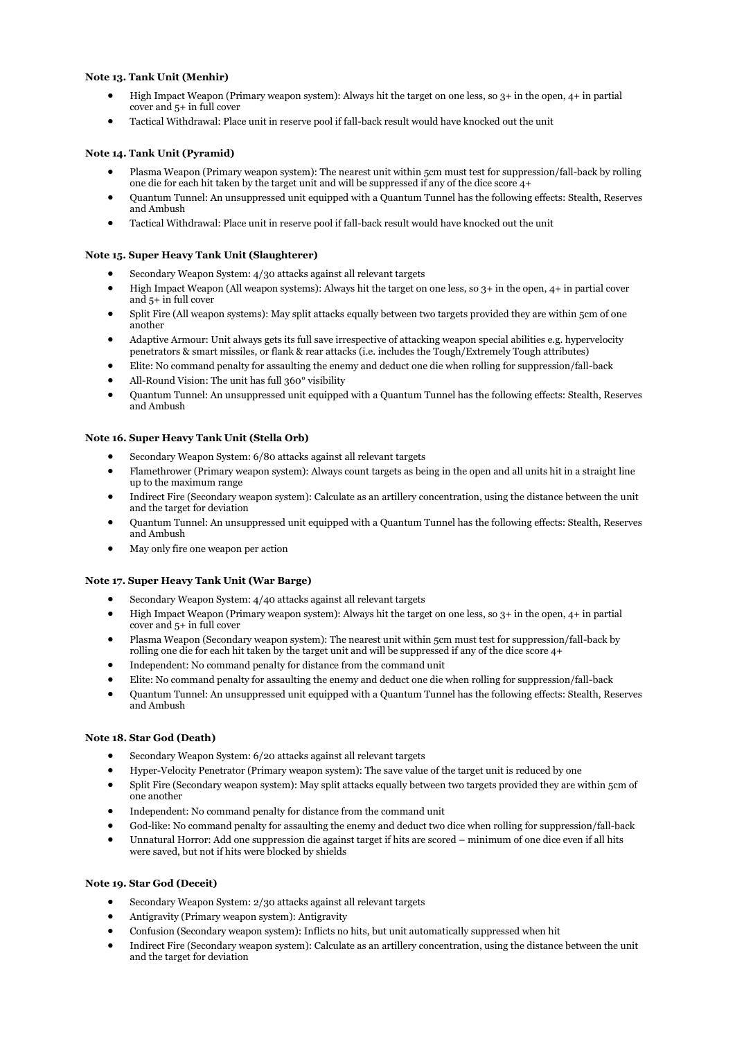## **Note 13. Tank Unit (Menhir)**

- High Impact Weapon (Primary weapon system): Always hit the target on one less, so 3+ in the open, 4+ in partial cover and 5+ in full cover
- Tactical Withdrawal: Place unit in reserve pool if fall-back result would have knocked out the unit

## **Note 14. Tank Unit (Pyramid)**

- Plasma Weapon (Primary weapon system): The nearest unit within 5cm must test for suppression/fall-back by rolling one die for each hit taken by the target unit and will be suppressed if any of the dice score 4+
- Quantum Tunnel: An unsuppressed unit equipped with a Quantum Tunnel has the following effects: Stealth, Reserves and Ambush
- Tactical Withdrawal: Place unit in reserve pool if fall-back result would have knocked out the unit

## **Note 15. Super Heavy Tank Unit (Slaughterer)**

- Secondary Weapon System: 4/30 attacks against all relevant targets
- High Impact Weapon (All weapon systems): Always hit the target on one less, so 3+ in the open, 4+ in partial cover and 5+ in full cover
- Split Fire (All weapon systems): May split attacks equally between two targets provided they are within 5cm of one another
- Adaptive Armour: Unit always gets its full save irrespective of attacking weapon special abilities e.g. hypervelocity penetrators & smart missiles, or flank & rear attacks (i.e. includes the Tough/Extremely Tough attributes)
- Elite: No command penalty for assaulting the enemy and deduct one die when rolling for suppression/fall-back
- All-Round Vision: The unit has full 360° visibility
- Quantum Tunnel: An unsuppressed unit equipped with a Quantum Tunnel has the following effects: Stealth, Reserves and Ambush

#### **Note 16. Super Heavy Tank Unit (Stella Orb)**

- Secondary Weapon System: 6/80 attacks against all relevant targets
- Flamethrower (Primary weapon system): Always count targets as being in the open and all units hit in a straight line up to the maximum range
- Indirect Fire (Secondary weapon system): Calculate as an artillery concentration, using the distance between the unit and the target for deviation
- Quantum Tunnel: An unsuppressed unit equipped with a Quantum Tunnel has the following effects: Stealth, Reserves and Ambush
- May only fire one weapon per action

#### **Note 17. Super Heavy Tank Unit (War Barge)**

- Secondary Weapon System: 4/40 attacks against all relevant targets
- High Impact Weapon (Primary weapon system): Always hit the target on one less, so 3+ in the open, 4+ in partial cover and 5+ in full cover
- Plasma Weapon (Secondary weapon system): The nearest unit within 5cm must test for suppression/fall-back by rolling one die for each hit taken by the target unit and will be suppressed if any of the dice score  $4+$
- Independent: No command penalty for distance from the command unit
- Elite: No command penalty for assaulting the enemy and deduct one die when rolling for suppression/fall-back
- Quantum Tunnel: An unsuppressed unit equipped with a Quantum Tunnel has the following effects: Stealth, Reserves and Ambush

## **Note 18. Star God (Death)**

- Secondary Weapon System: 6/20 attacks against all relevant targets
- Hyper-Velocity Penetrator (Primary weapon system): The save value of the target unit is reduced by one
- Split Fire (Secondary weapon system): May split attacks equally between two targets provided they are within 5cm of one another
- Independent: No command penalty for distance from the command unit
- God-like: No command penalty for assaulting the enemy and deduct two dice when rolling for suppression/fall-back
- Unnatural Horror: Add one suppression die against target if hits are scored minimum of one dice even if all hits were saved, but not if hits were blocked by shields

## **Note 19. Star God (Deceit)**

- Secondary Weapon System: 2/30 attacks against all relevant targets
- Antigravity (Primary weapon system): Antigravity
- Confusion (Secondary weapon system): Inflicts no hits, but unit automatically suppressed when hit
- Indirect Fire (Secondary weapon system): Calculate as an artillery concentration, using the distance between the unit and the target for deviation